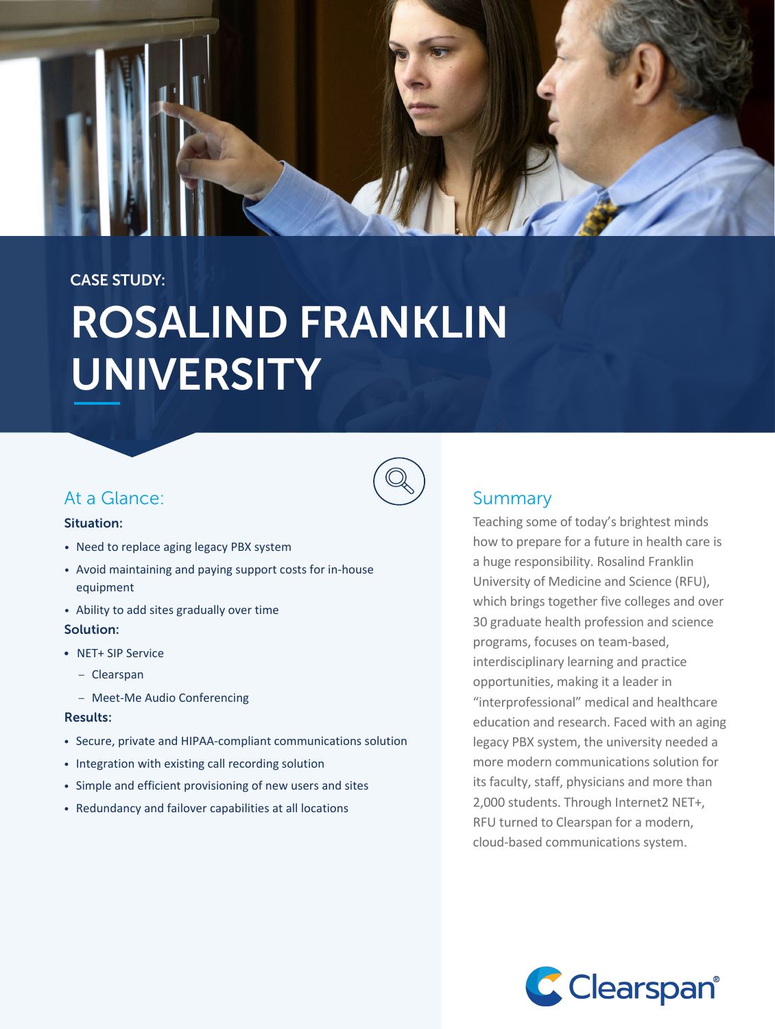

# CASE STUDY: ROSALIND FRANKLIN UNIVERSITY

# At a Glance:

#### Situation:

- Need to replace aging legacy PBX system
- Avoid maintaining and paying support costs for in-house equipment
- Ability to add sites gradually over time Solution:
- NET+ SIP Service
	- Clearspan
	- Meet-Me Audio Conferencing

#### Results:

- Secure, private and HIPAA-compliant communications solution
- Integration with existing call recording solution
- Simple and efficient provisioning of new users and sites
- Redundancy and failover capabilities at all locations

# Summary

Teaching some of today's brightest minds how to prepare for a future in health care is a huge responsibility. Rosalind Franklin University of Medicine and Science (RFU), which brings together five colleges and over 30 graduate health profession and science programs, focuses on team-based, interdisciplinary learning and practice opportunities, making it a leader in "interprofessional" medical and healthcare education and research. Faced with an aging legacy PBX system, the university needed a more modern communications solution for its faculty, staff, physicians and more than 2,000 students. Through Internet2 NET+, RFU turned to Clearspan for a modern, cloud-based communications system.

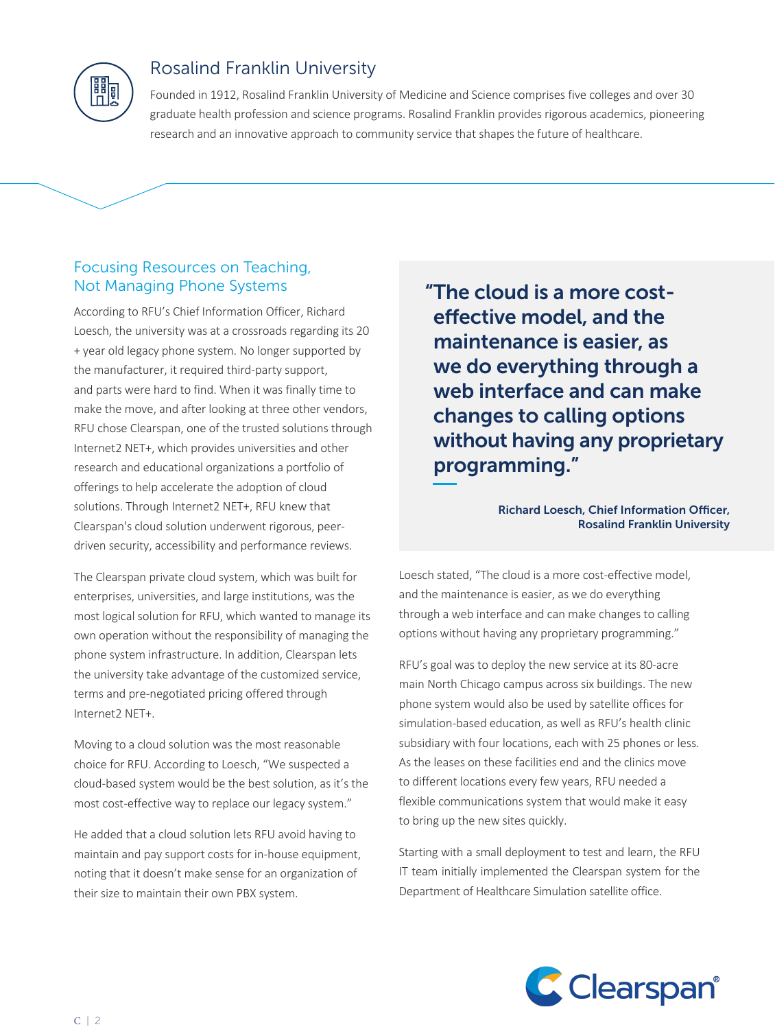

# Rosalind Franklin University

Founded in 1912, Rosalind Franklin University of Medicine and Science comprises five colleges and over 30 graduate health profession and science programs. Rosalind Franklin provides rigorous academics, pioneering research and an innovative approach to community service that shapes the future of healthcare.

# Focusing Resources on Teaching, Not Managing Phone Systems

According to RFU's Chief Information Officer, Richard Loesch, the university was at a crossroads regarding its 20 + year old legacy phone system. No longer supported by the manufacturer, it required third-party support, and parts were hard to find. When it was finally time to make the move, and after looking at three other vendors, RFU chose Clearspan, one of the trusted solutions through Internet2 NET+, which provides universities and other research and educational organizations a portfolio of offerings to help accelerate the adoption of cloud solutions. Through Internet2 NET+, RFU knew that Clearspan's cloud solution underwent rigorous, peerdriven security, accessibility and performance reviews.

The Clearspan private cloud system, which was built for enterprises, universities, and large institutions, was the most logical solution for RFU, which wanted to manage its own operation without the responsibility of managing the phone system infrastructure. In addition, Clearspan lets the university take advantage of the customized service, terms and pre-negotiated pricing offered through Internet2 NET+.

Moving to a cloud solution was the most reasonable choice for RFU. According to Loesch, "We suspected a cloud-based system would be the best solution, as it's the most cost-effective way to replace our legacy system."

He added that a cloud solution lets RFU avoid having to maintain and pay support costs for in-house equipment, noting that it doesn't make sense for an organization of their size to maintain their own PBX system.

"The cloud is a more costeffective model, and the maintenance is easier, as we do everything through a web interface and can make changes to calling options without having any proprietary programming."

#### Richard Loesch, Chief Information Officer, Rosalind Franklin University

Loesch stated, "The cloud is a more cost-effective model, and the maintenance is easier, as we do everything through a web interface and can make changes to calling options without having any proprietary programming."

RFU's goal was to deploy the new service at its 80-acre main North Chicago campus across six buildings. The new phone system would also be used by satellite offices for simulation-based education, as well as RFU's health clinic subsidiary with four locations, each with 25 phones or less. As the leases on these facilities end and the clinics move to different locations every few years, RFU needed a flexible communications system that would make it easy to bring up the new sites quickly.

Starting with a small deployment to test and learn, the RFU IT team initially implemented the Clearspan system for the Department of Healthcare Simulation satellite office.

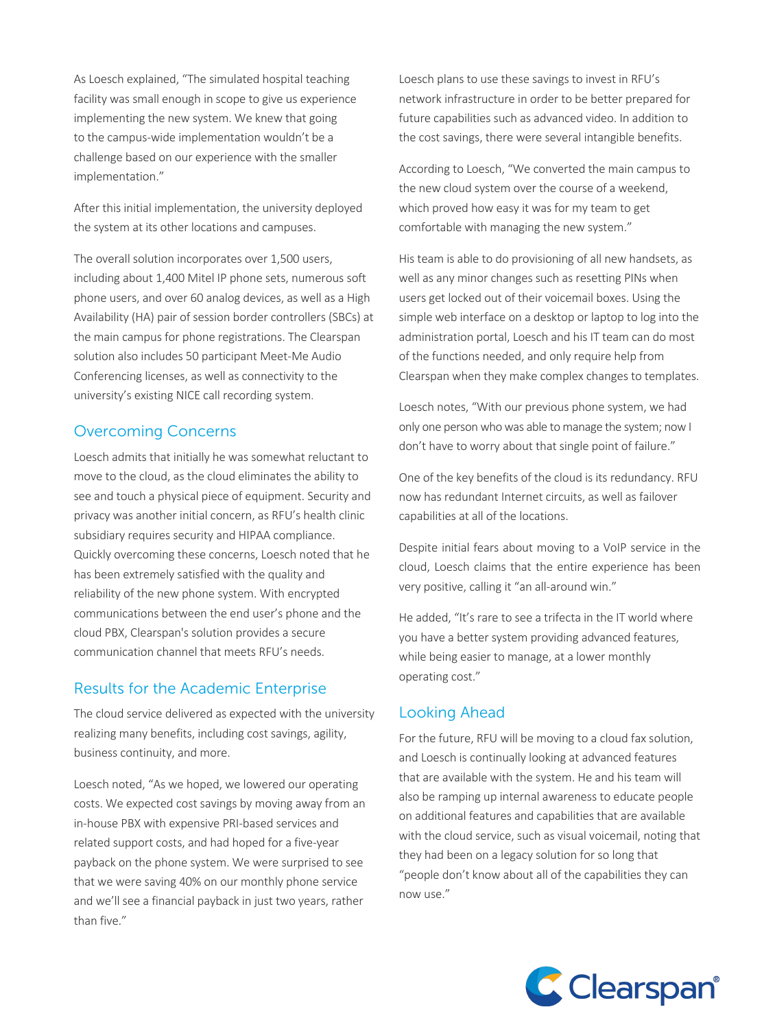As Loesch explained, "The simulated hospital teaching facility was small enough in scope to give us experience implementing the new system. We knew that going to the campus-wide implementation wouldn't be a challenge based on our experience with the smaller implementation."

After this initial implementation, the university deployed the system at its other locations and campuses.

The overall solution incorporates over 1,500 users, including about 1,400 Mitel IP phone sets, numerous soft phone users, and over 60 analog devices, as well as a High Availability (HA) pair of session border controllers (SBCs) at the main campus for phone registrations. The Clearspan solution also includes 50 participant Meet-Me Audio Conferencing licenses, as well as connectivity to the university's existing NICE call recording system.

### Overcoming Concerns

Loesch admits that initially he was somewhat reluctant to move to the cloud, as the cloud eliminates the ability to see and touch a physical piece of equipment. Security and privacy was another initial concern, as RFU's health clinic subsidiary requires security and HIPAA compliance. Quickly overcoming these concerns, Loesch noted that he has been extremely satisfied with the quality and reliability of the new phone system. With encrypted communications between the end user's phone and the cloud PBX, Clearspan's solution provides a secure communication channel that meets RFU's needs.

## Results for the Academic Enterprise

The cloud service delivered as expected with the university realizing many benefits, including cost savings, agility, business continuity, and more.

Loesch noted, "As we hoped, we lowered our operating costs. We expected cost savings by moving away from an in-house PBX with expensive PRI-based services and related support costs, and had hoped for a five-year payback on the phone system. We were surprised to see that we were saving 40% on our monthly phone service and we'll see a financial payback in just two years, rather than five."

Loesch plans to use these savings to invest in RFU's network infrastructure in order to be better prepared for future capabilities such as advanced video. In addition to the cost savings, there were several intangible benefits.

According to Loesch, "We converted the main campus to the new cloud system over the course of a weekend, which proved how easy it was for my team to get comfortable with managing the new system."

His team is able to do provisioning of all new handsets, as well as any minor changes such as resetting PINs when users get locked out of their voicemail boxes. Using the simple web interface on a desktop or laptop to log into the administration portal, Loesch and his IT team can do most of the functions needed, and only require help from Clearspan when they make complex changes to templates.

Loesch notes, "With our previous phone system, we had only one person who was able to manage the system; now I don't have to worry about that single point of failure."

One of the key benefits of the cloud is its redundancy. RFU now has redundant Internet circuits, as well as failover capabilities at all of the locations.

Despite initial fears about moving to a VoIP service in the cloud, Loesch claims that the entire experience has been very positive, calling it "an all-around win."

He added, "It's rare to see a trifecta in the IT world where you have a better system providing advanced features, while being easier to manage, at a lower monthly operating cost."

## Looking Ahead

For the future, RFU will be moving to a cloud fax solution, and Loesch is continually looking at advanced features that are available with the system. He and his team will also be ramping up internal awareness to educate people on additional features and capabilities that are available with the cloud service, such as visual voicemail, noting that they had been on a legacy solution for so long that "people don't know about all of the capabilities they can now use."